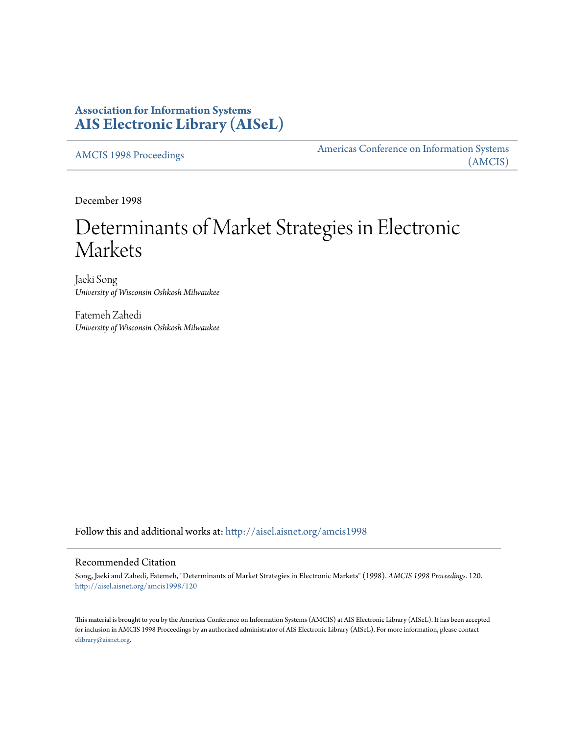# **Association for Information Systems [AIS Electronic Library \(AISeL\)](http://aisel.aisnet.org?utm_source=aisel.aisnet.org%2Famcis1998%2F120&utm_medium=PDF&utm_campaign=PDFCoverPages)**

[AMCIS 1998 Proceedings](http://aisel.aisnet.org/amcis1998?utm_source=aisel.aisnet.org%2Famcis1998%2F120&utm_medium=PDF&utm_campaign=PDFCoverPages)

[Americas Conference on Information Systems](http://aisel.aisnet.org/amcis?utm_source=aisel.aisnet.org%2Famcis1998%2F120&utm_medium=PDF&utm_campaign=PDFCoverPages) [\(AMCIS\)](http://aisel.aisnet.org/amcis?utm_source=aisel.aisnet.org%2Famcis1998%2F120&utm_medium=PDF&utm_campaign=PDFCoverPages)

December 1998

# Determinants of Market Strategies in Electronic Markets

Jaeki Song *University of Wisconsin Oshkosh Milwaukee*

Fatemeh Zahedi *University of Wisconsin Oshkosh Milwaukee*

Follow this and additional works at: [http://aisel.aisnet.org/amcis1998](http://aisel.aisnet.org/amcis1998?utm_source=aisel.aisnet.org%2Famcis1998%2F120&utm_medium=PDF&utm_campaign=PDFCoverPages)

#### Recommended Citation

Song, Jaeki and Zahedi, Fatemeh, "Determinants of Market Strategies in Electronic Markets" (1998). *AMCIS 1998 Proceedings*. 120. [http://aisel.aisnet.org/amcis1998/120](http://aisel.aisnet.org/amcis1998/120?utm_source=aisel.aisnet.org%2Famcis1998%2F120&utm_medium=PDF&utm_campaign=PDFCoverPages)

This material is brought to you by the Americas Conference on Information Systems (AMCIS) at AIS Electronic Library (AISeL). It has been accepted for inclusion in AMCIS 1998 Proceedings by an authorized administrator of AIS Electronic Library (AISeL). For more information, please contact [elibrary@aisnet.org.](mailto:elibrary@aisnet.org%3E)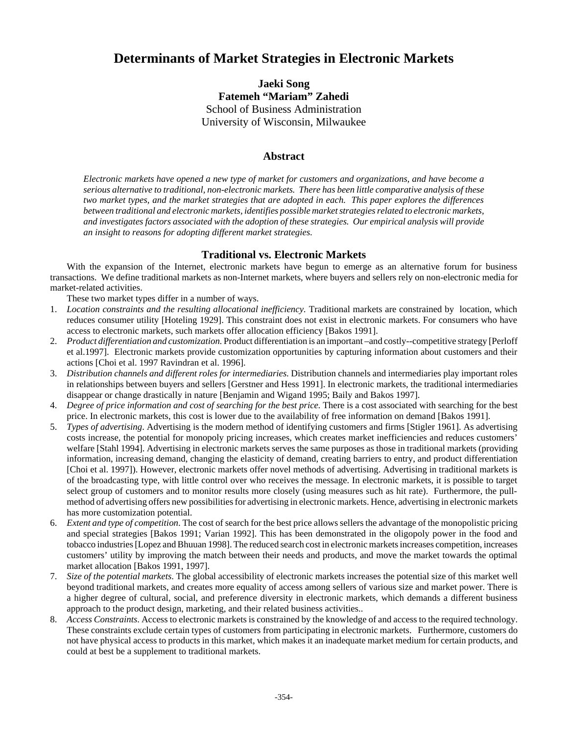# **Determinants of Market Strategies in Electronic Markets**

**Jaeki Song Fatemeh "Mariam" Zahedi** School of Business Administration University of Wisconsin, Milwaukee

## **Abstract**

*Electronic markets have opened a new type of market for customers and organizations, and have become a serious alternative to traditional, non-electronic markets. There has been little comparative analysis of these two market types, and the market strategies that are adopted in each. This paper explores the differences between traditional and electronic markets, identifies possible market strategies related to electronic markets, and investigates factors associated with the adoption of these strategies. Our empirical analysis will provide an insight to reasons for adopting different market strategies.* 

## **Traditional vs. Electronic Markets**

With the expansion of the Internet, electronic markets have begun to emerge as an alternative forum for business transactions. We define traditional markets as non-Internet markets, where buyers and sellers rely on non-electronic media for market-related activities.

These two market types differ in a number of ways.

- 1. *Location constraints and the resulting allocational inefficiency*. Traditional markets are constrained by location, which reduces consumer utility [Hoteling 1929]. This constraint does not exist in electronic markets. For consumers who have access to electronic markets, such markets offer allocation efficiency [Bakos 1991].
- 2. *Product differentiation and customization.* Product differentiation is an important –and costly--competitive strategy [Perloff et al.1997]. Electronic markets provide customization opportunities by capturing information about customers and their actions [Choi et al. 1997 Ravindran et al. 1996].
- 3. *Distribution channels and different roles for intermediaries.* Distribution channels and intermediaries play important roles in relationships between buyers and sellers [Gerstner and Hess 1991]. In electronic markets, the traditional intermediaries disappear or change drastically in nature [Benjamin and Wigand 1995; Baily and Bakos 1997].
- 4. *Degree of price information and cost of searching for the best price.* There is a cost associated with searching for the best price. In electronic markets, this cost is lower due to the availability of free information on demand [Bakos 1991].
- 5. *Types of advertising*. Advertising is the modern method of identifying customers and firms [Stigler 1961]. As advertising costs increase, the potential for monopoly pricing increases, which creates market inefficiencies and reduces customers' welfare [Stahl 1994]. Advertising in electronic markets serves the same purposes as those in traditional markets (providing information, increasing demand, changing the elasticity of demand, creating barriers to entry, and product differentiation [Choi et al. 1997]). However, electronic markets offer novel methods of advertising. Advertising in traditional markets is of the broadcasting type, with little control over who receives the message. In electronic markets, it is possible to target select group of customers and to monitor results more closely (using measures such as hit rate). Furthermore, the pullmethod of advertising offers new possibilities for advertising in electronic markets. Hence, advertising in electronic markets has more customization potential.
- 6. *Extent and type of competition*. The cost of search for the best price allows sellers the advantage of the monopolistic pricing and special strategies [Bakos 1991; Varian 1992]. This has been demonstrated in the oligopoly power in the food and tobacco industries [Lopez and Bhuuan 1998]. The reduced search cost in electronic markets increases competition, increases customers' utility by improving the match between their needs and products, and move the market towards the optimal market allocation [Bakos 1991, 1997].
- 7. *Size of the potential markets*. The global accessibility of electronic markets increases the potential size of this market well beyond traditional markets, and creates more equality of access among sellers of various size and market power. There is a higher degree of cultural, social, and preference diversity in electronic markets, which demands a different business approach to the product design, marketing, and their related business activities..
- 8. *Access Constraints*. Access to electronic markets is constrained by the knowledge of and access to the required technology. These constraints exclude certain types of customers from participating in electronic markets. Furthermore, customers do not have physical access to products in this market, which makes it an inadequate market medium for certain products, and could at best be a supplement to traditional markets.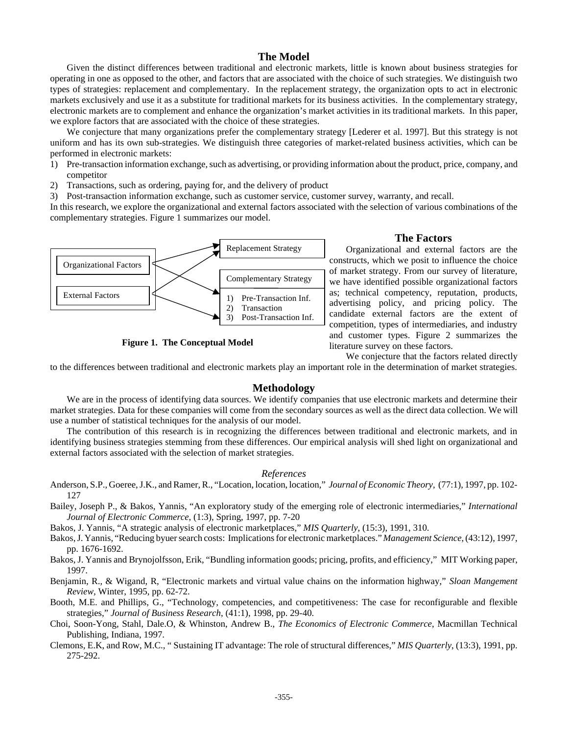#### **The Model**

Given the distinct differences between traditional and electronic markets, little is known about business strategies for operating in one as opposed to the other, and factors that are associated with the choice of such strategies. We distinguish two types of strategies: replacement and complementary. In the replacement strategy, the organization opts to act in electronic markets exclusively and use it as a substitute for traditional markets for its business activities. In the complementary strategy, electronic markets are to complement and enhance the organization's market activities in its traditional markets. In this paper, we explore factors that are associated with the choice of these strategies.

We conjecture that many organizations prefer the complementary strategy [Lederer et al. 1997]. But this strategy is not uniform and has its own sub-strategies. We distinguish three categories of market-related business activities, which can be performed in electronic markets:

- 1) Pre-transaction information exchange, such as advertising, or providing information about the product, price, company, and competitor
- 2) Transactions, such as ordering, paying for, and the delivery of product

3) Post-transaction information exchange, such as customer service, customer survey, warranty, and recall.

In this research, we explore the organizational and external factors associated with the selection of various combinations of the complementary strategies. Figure 1 summarizes our model.



**Figure 1. The Conceptual Model**

#### **The Factors**

Organizational and external factors are the constructs, which we posit to influence the choice of market strategy. From our survey of literature, we have identified possible organizational factors as; technical competency, reputation, products, advertising policy, and pricing policy. The candidate external factors are the extent of competition, types of intermediaries, and industry and customer types. Figure 2 summarizes the literature survey on these factors.

We conjecture that the factors related directly

to the differences between traditional and electronic markets play an important role in the determination of market strategies.

#### **Methodology**

We are in the process of identifying data sources. We identify companies that use electronic markets and determine their market strategies. Data for these companies will come from the secondary sources as well as the direct data collection. We will use a number of statistical techniques for the analysis of our model.

The contribution of this research is in recognizing the differences between traditional and electronic markets, and in identifying business strategies stemming from these differences. Our empirical analysis will shed light on organizational and external factors associated with the selection of market strategies.

#### *References*

- Anderson, S.P., Goeree, J.K., and Ramer, R., "Location, location, location," *Journal of Economic Theory*, (77:1), 1997, pp. 102- 127
- Bailey, Joseph P., & Bakos, Yannis, "An exploratory study of the emerging role of electronic intermediaries," *International Journal of Electronic Commerce*, (1:3), Spring, 1997, pp. 7-20

Bakos, J. Yannis, "A strategic analysis of electronic marketplaces," *MIS Quarterly*, (15:3), 1991, 310.

- Bakos, J. Yannis, "Reducing byuer search costs: Implications for electronic marketplaces." *Management Science*, (43:12), 1997, pp. 1676-1692.
- Bakos, J. Yannis and Brynojolfsson, Erik, "Bundling information goods; pricing, profits, and efficiency," MIT Working paper, 1997.
- Benjamin, R., & Wigand, R, "Electronic markets and virtual value chains on the information highway," *Sloan Mangement Review,* Winter, 1995, pp. 62-72.
- Booth, M.E. and Phillips, G., "Technology, competencies, and competitiveness: The case for reconfigurable and flexible strategies," *Journal of Business Research*, (41:1), 1998, pp. 29-40.
- Choi, Soon-Yong, Stahl, Dale.O, & Whinston, Andrew B., *The Economics of Electronic Commerce*, Macmillan Technical Publishing, Indiana, 1997.
- Clemons, E.K, and Row, M.C., " Sustaining IT advantage: The role of structural differences," *MIS Quarterly*, (13:3), 1991, pp. 275-292.